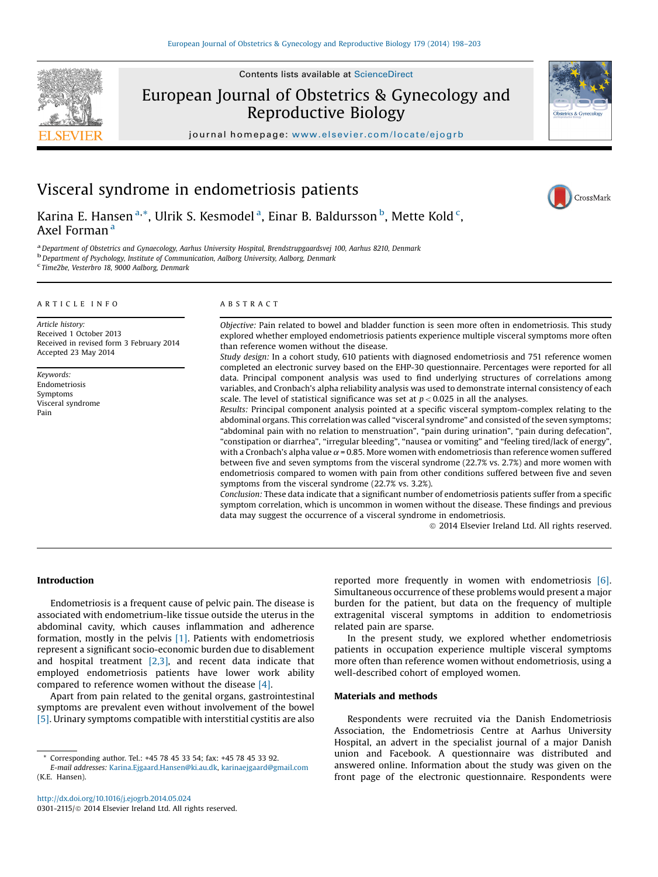

Contents lists available at ScienceDirect

European Journal of Obstetrics & Gynecology and Reproductive Biology



CrossMark

journal homepage: <www.elsevier.com/locate/ejogrb>

# Visceral syndrome in endometriosis patients

Karina E. Hansen<sup>a,\*</sup>, Ulrik S. Kesmodel<sup>a</sup>, Einar B. Baldursson<sup>b</sup>, Mette Kold<sup>c</sup>, Axel Forman<sup>a</sup>

<sup>a</sup> Department of Obstetrics and Gynaecology, Aarhus University Hospital, Brendstrupgaardsvej 100, Aarhus 8210, Denmark<br><sup>b</sup> Department of Psychology, Institute of Communication, Aalborg University, Aalborg, Denmark

Time2be, Vesterbro 18, 9000 Aalborg, Denmark

#### A R T I C L E I N F O

Article history: Received 1 October 2013 Received in revised form 3 February 2014 Accepted 23 May 2014

Keywords: Endometriosis Symptoms Visceral syndrome Pain

#### A B S T R A C T

Objective: Pain related to bowel and bladder function is seen more often in endometriosis. This study explored whether employed endometriosis patients experience multiple visceral symptoms more often than reference women without the disease.

Study design: In a cohort study, 610 patients with diagnosed endometriosis and 751 reference women completed an electronic survey based on the EHP-30 questionnaire. Percentages were reported for all data. Principal component analysis was used to find underlying structures of correlations among variables, and Cronbach's alpha reliability analysis was used to demonstrate internal consistency of each scale. The level of statistical significance was set at  $p < 0.025$  in all the analyses.

Results: Principal component analysis pointed at a specific visceral symptom-complex relating to the abdominal organs. This correlation was called "visceral syndrome" and consisted of the seven symptoms; "abdominal pain with no relation to menstruation", "pain during urination", "pain during defecation", "constipation or diarrhea", "irregular bleeding", "nausea or vomiting" and "feeling tired/lack of energy", with a Cronbach's alpha value  $\alpha$  = 0.85. More women with endometriosis than reference women suffered between five and seven symptoms from the visceral syndrome (22.7% vs. 2.7%) and more women with endometriosis compared to women with pain from other conditions suffered between five and seven symptoms from the visceral syndrome (22.7% vs. 3.2%).

Conclusion: These data indicate that a significant number of endometriosis patients suffer from a specific symptom correlation, which is uncommon in women without the disease. These findings and previous data may suggest the occurrence of a visceral syndrome in endometriosis.

 $©$  2014 Elsevier Ireland Ltd. All rights reserved.

# Introduction

Endometriosis is a frequent cause of pelvic pain. The disease is associated with endometrium-like tissue outside the uterus in the abdominal cavity, which causes inflammation and adherence formation, mostly in the pelvis [\[1\].](#page-5-0) Patients with endometriosis represent a significant socio-economic burden due to disablement and hospital treatment [\[2,3\]](#page-5-0), and recent data indicate that employed endometriosis patients have lower work ability compared to reference women without the disease [\[4\]](#page-5-0).

Apart from pain related to the genital organs, gastrointestinal symptoms are prevalent even without involvement of the bowel [\[5\].](#page-5-0) Urinary symptoms compatible with interstitial cystitis are also

<http://dx.doi.org/10.1016/j.ejogrb.2014.05.024> 0301-2115/ $\circ$  2014 Elsevier Ireland Ltd. All rights reserved. reported more frequently in women with endometriosis [\[6\].](#page-5-0) Simultaneous occurrence of these problems would present a major burden for the patient, but data on the frequency of multiple extragenital visceral symptoms in addition to endometriosis related pain are sparse.

In the present study, we explored whether endometriosis patients in occupation experience multiple visceral symptoms more often than reference women without endometriosis, using a well-described cohort of employed women.

# Materials and methods

Respondents were recruited via the Danish Endometriosis Association, the Endometriosis Centre at Aarhus University Hospital, an advert in the specialist journal of a major Danish union and Facebook. A questionnaire was distributed and answered online. Information about the study was given on the front page of the electronic questionnaire. Respondents were

Corresponding author. Tel.: +45 78 45 33 54; fax: +45 78 45 33 92.

E-mail addresses: [Karina.Ejgaard.Hansen@ki.au.dk,](mailto:Karina.Ejgaard.Hansen@ki.au.dk) [karinaejgaard@gmail.com](mailto:karinaejgaard@gmail.com) (K.E. Hansen).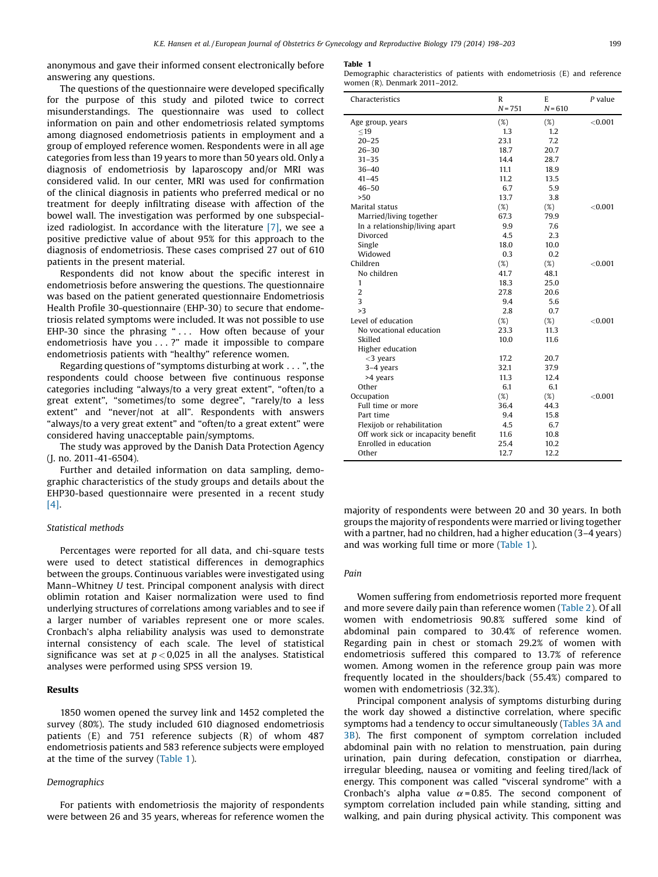anonymous and gave their informed consent electronically before answering any questions.

The questions of the questionnaire were developed specifically for the purpose of this study and piloted twice to correct misunderstandings. The questionnaire was used to collect information on pain and other endometriosis related symptoms among diagnosed endometriosis patients in employment and a group of employed reference women. Respondents were in all age categories from less than 19 years to more than 50 years old. Only a diagnosis of endometriosis by laparoscopy and/or MRI was considered valid. In our center, MRI was used for confirmation of the clinical diagnosis in patients who preferred medical or no treatment for deeply infiltrating disease with affection of the bowel wall. The investigation was performed by one subspecialized radiologist. In accordance with the literature  $[7]$ , we see a positive predictive value of about 95% for this approach to the diagnosis of endometriosis. These cases comprised 27 out of 610 patients in the present material.

Respondents did not know about the specific interest in endometriosis before answering the questions. The questionnaire was based on the patient generated questionnaire Endometriosis Health Profile 30-questionnaire (EHP-30) to secure that endometriosis related symptoms were included. It was not possible to use EHP-30 since the phrasing " . . . How often because of your endometriosis have you . . . ?" made it impossible to compare endometriosis patients with "healthy" reference women.

Regarding questions of "symptoms disturbing at work . . . ", the respondents could choose between five continuous response categories including "always/to a very great extent", "often/to a great extent", "sometimes/to some degree", "rarely/to a less extent" and "never/not at all". Respondents with answers "always/to a very great extent" and "often/to a great extent" were considered having unacceptable pain/symptoms.

The study was approved by the Danish Data Protection Agency (J. no. 2011-41-6504).

Further and detailed information on data sampling, demographic characteristics of the study groups and details about the EHP30-based questionnaire were presented in a recent study [\[4\]](#page-5-0).

# Statistical methods

Percentages were reported for all data, and chi-square tests were used to detect statistical differences in demographics between the groups. Continuous variables were investigated using Mann–Whitney U test. Principal component analysis with direct oblimin rotation and Kaiser normalization were used to find underlying structures of correlations among variables and to see if a larger number of variables represent one or more scales. Cronbach's alpha reliability analysis was used to demonstrate internal consistency of each scale. The level of statistical significance was set at  $p < 0.025$  in all the analyses. Statistical analyses were performed using SPSS version 19.

## Results

1850 women opened the survey link and 1452 completed the survey (80%). The study included 610 diagnosed endometriosis patients (E) and 751 reference subjects (R) of whom 487 endometriosis patients and 583 reference subjects were employed at the time of the survey (Table 1).

# Demographics

For patients with endometriosis the majority of respondents were between 26 and 35 years, whereas for reference women the

#### Table 1

Demographic characteristics of patients with endometriosis (E) and reference women (R). Denmark 2011–2012.

| Characteristics                     | $\mathbb{R}$ | E         | $P$ value  |
|-------------------------------------|--------------|-----------|------------|
|                                     | $N = 751$    | $N = 610$ |            |
| Age group, years                    | (%)          | $(\%)$    | < 0.001    |
| $<$ 19                              | 1.3          | 1.2       |            |
| $20 - 25$                           | 23.1         | 7.2       |            |
| $26 - 30$                           | 18.7         | 20.7      |            |
| $31 - 35$                           | 14.4         | 28.7      |            |
| $36 - 40$                           | 11.1         | 18.9      |            |
| $41 - 45$                           | 11.2         | 13.5      |            |
| $46 - 50$                           | 6.7          | 5.9       |            |
| >50                                 | 13.7         | 3.8       |            |
| Marital status                      | $(\%)$       | $(\%)$    | ${<}0.001$ |
| Married/living together             | 67.3         | 79.9      |            |
| In a relationship/living apart      | 9.9          | 7.6       |            |
| Divorced                            | 4.5          | 2.3       |            |
| Single                              | 18.0         | 10.0      |            |
| Widowed                             | 0.3          | 0.2       |            |
| Children                            | (%)          | (%)       | < 0.001    |
| No children                         | 41.7         | 48.1      |            |
| $\mathbf{1}$                        | 18.3         | 25.0      |            |
| $\overline{2}$                      | 27.8         | 20.6      |            |
| 3                                   | 9.4          | 5.6       |            |
| >3                                  | 2.8          | 0.7       |            |
| Level of education                  | (%)          | $(\%)$    | < 0.001    |
| No vocational education             | 23.3         | 11.3      |            |
| Skilled                             | 10.0         | 11.6      |            |
| Higher education                    |              |           |            |
| $<$ 3 years                         | 17.2         | 20.7      |            |
| 3-4 years                           | 32.1         | 37.9      |            |
| >4 years                            | 11.3         | 12.4      |            |
| Other                               | 6.1          | 6.1       |            |
| Occupation                          | (%)          | (%)       | < 0.001    |
| Full time or more                   | 36.4         | 44.3      |            |
| Part time                           | 9.4          | 15.8      |            |
| Flexijob or rehabilitation          | 4.5          | 6.7       |            |
| Off work sick or incapacity benefit | 11.6         | 10.8      |            |
| Enrolled in education               | 25.4         | 10.2      |            |
| Other                               | 12.7         | 12.2      |            |

majority of respondents were between 20 and 30 years. In both groups the majority of respondents were married or living together with a partner, had no children, had a higher education (3–4 years) and was working full time or more (Table 1).

# Pain

Women suffering from endometriosis reported more frequent and more severe daily pain than reference women [\(Table](#page-2-0) 2). Of all women with endometriosis 90.8% suffered some kind of abdominal pain compared to 30.4% of reference women. Regarding pain in chest or stomach 29.2% of women with endometriosis suffered this compared to 13.7% of reference women. Among women in the reference group pain was more frequently located in the shoulders/back (55.4%) compared to women with endometriosis (32.3%).

Principal component analysis of symptoms disturbing during the work day showed a distinctive correlation, where specific symptoms had a tendency to occur simultaneously [\(Tables](#page-3-0) 3A and [3B](#page-3-0)). The first component of symptom correlation included abdominal pain with no relation to menstruation, pain during urination, pain during defecation, constipation or diarrhea, irregular bleeding, nausea or vomiting and feeling tired/lack of energy. This component was called "visceral syndrome" with a Cronbach's alpha value  $\alpha$  = 0.85. The second component of symptom correlation included pain while standing, sitting and walking, and pain during physical activity. This component was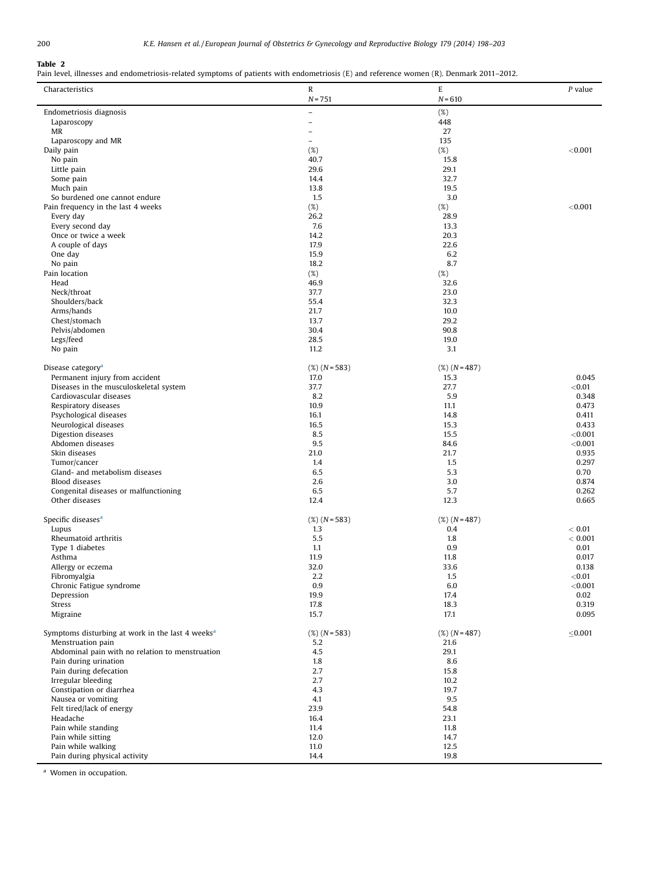# <span id="page-2-0"></span>Table 2

Pain level, illnesses and endometriosis-related symptoms of patients with endometriosis (E) and reference women (R). Denmark 2011–2012.

| Characteristics                                         | R               | E               | P value         |
|---------------------------------------------------------|-----------------|-----------------|-----------------|
|                                                         | $N = 751$       | $N = 610$       |                 |
| Endometriosis diagnosis                                 | $\overline{a}$  | $(\%)$          |                 |
| Laparoscopy                                             | $\overline{a}$  | 448             |                 |
| MR                                                      | $\overline{a}$  | 27              |                 |
| Laparoscopy and MR<br>Daily pain                        | $\equiv$        | 135<br>(%)      | < 0.001         |
| No pain                                                 | (%)<br>40.7     | 15.8            |                 |
| Little pain                                             | 29.6            | 29.1            |                 |
| Some pain                                               | 14.4            | 32.7            |                 |
| Much pain                                               | 13.8            | 19.5            |                 |
| So burdened one cannot endure                           | 1.5             | 3.0             |                 |
| Pain frequency in the last 4 weeks<br>Every day         | $(\%)$<br>26.2  | (%)<br>28.9     | < 0.001         |
| Every second day                                        | 7.6             | 13.3            |                 |
| Once or twice a week                                    | 14.2            | 20.3            |                 |
| A couple of days                                        | 17.9            | 22.6            |                 |
| One day                                                 | 15.9            | 6.2             |                 |
| No pain                                                 | 18.2            | 8.7             |                 |
| Pain location<br>Head                                   | $(\%)$<br>46.9  | (%)<br>32.6     |                 |
| Neck/throat                                             | 37.7            | 23.0            |                 |
| Shoulders/back                                          | 55.4            | 32.3            |                 |
| Arms/hands                                              | 21.7            | 10.0            |                 |
| Chest/stomach                                           | 13.7            | 29.2            |                 |
| Pelvis/abdomen                                          | 30.4            | 90.8            |                 |
| Legs/feed                                               | 28.5            | 19.0            |                 |
| No pain                                                 | 11.2            | 3.1             |                 |
| Disease category <sup>a</sup>                           | $(X)$ (N = 583) | $(X)$ (N = 487) |                 |
| Permanent injury from accident                          | 17.0            | 15.3            | 0.045           |
| Diseases in the musculoskeletal system                  | 37.7            | 27.7            | < 0.01          |
| Cardiovascular diseases                                 | 8.2             | 5.9             | 0.348           |
| Respiratory diseases<br>Psychological diseases          | 10.9<br>16.1    | 11.1<br>14.8    | 0.473<br>0.411  |
| Neurological diseases                                   | 16.5            | 15.3            | 0.433           |
| Digestion diseases                                      | 8.5             | 15.5            | < 0.001         |
| Abdomen diseases                                        | 9.5             | 84.6            | < 0.001         |
| Skin diseases                                           | 21.0            | 21.7            | 0.935           |
| Tumor/cancer                                            | 1.4             | 1.5             | 0.297           |
| Gland- and metabolism diseases<br><b>Blood diseases</b> | 6.5<br>2.6      | 5.3<br>3.0      | 0.70<br>0.874   |
| Congenital diseases or malfunctioning                   | 6.5             | 5.7             | 0.262           |
| Other diseases                                          | 12.4            | 12.3            | 0.665           |
|                                                         |                 |                 |                 |
| Specific diseases <sup>a</sup>                          | $(X)$ (N = 583) | $(X)$ (N = 487) |                 |
| Lupus                                                   | 1.3             | 0.4             | < 0.01          |
| Rheumatoid arthritis<br>Type 1 diabetes                 | 5.5<br>1.1      | 1.8<br>0.9      | < 0.001<br>0.01 |
| Asthma                                                  | 11.9            | 11.8            | 0.017           |
| Allergy or eczema                                       | 32.0            | 33.6            | 0.138           |
| Fibromyalgia                                            | 2.2             | 1.5             | ${<}0.01$       |
| Chronic Fatigue syndrome                                | 0.9             | 6.0             | < 0.001         |
| Depression                                              | 19.9            | 17.4            | 0.02            |
| Stress<br>Migraine                                      | 17.8<br>15.7    | 18.3<br>17.1    | 0.319<br>0.095  |
|                                                         |                 |                 |                 |
| Symptoms disturbing at work in the last 4 weeks $a$     | $(X)$ (N = 583) | $(X)$ (N = 487) | ≤ $0.001$       |
| Menstruation pain                                       | 5.2             | 21.6            |                 |
| Abdominal pain with no relation to menstruation         | 4.5             | 29.1            |                 |
| Pain during urination<br>Pain during defecation         | 1.8<br>2.7      | 8.6<br>15.8     |                 |
| Irregular bleeding                                      | 2.7             | 10.2            |                 |
| Constipation or diarrhea                                | 4.3             | 19.7            |                 |
| Nausea or vomiting                                      | 4.1             | 9.5             |                 |
| Felt tired/lack of energy                               | 23.9            | 54.8            |                 |
| Headache<br>Pain while standing                         | 16.4            | 23.1            |                 |
| Pain while sitting                                      | 11.4<br>12.0    | 11.8<br>14.7    |                 |
| Pain while walking                                      | 11.0            | 12.5            |                 |
| Pain during physical activity                           | 14.4            | 19.8            |                 |

<sup>a</sup> Women in occupation.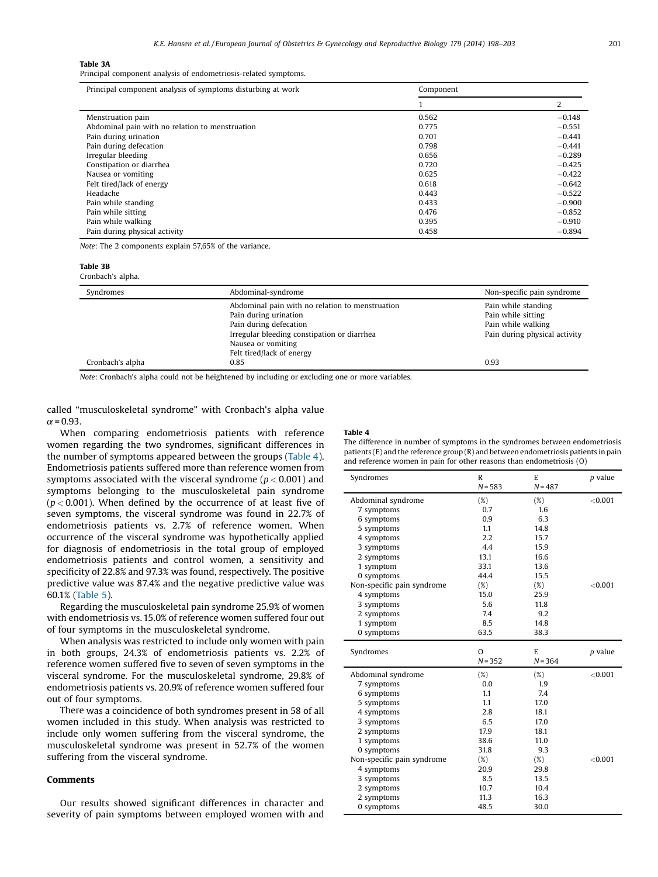#### <span id="page-3-0"></span>Table 3A

Principal component analysis of endometriosis-related symptoms.

| Principal component analysis of symptoms disturbing at work | Component |          |  |
|-------------------------------------------------------------|-----------|----------|--|
|                                                             |           | 2        |  |
| Menstruation pain                                           | 0.562     | $-0.148$ |  |
| Abdominal pain with no relation to menstruation             | 0.775     | $-0.551$ |  |
| Pain during urination                                       | 0.701     | $-0.441$ |  |
| Pain during defecation                                      | 0.798     | $-0.441$ |  |
| Irregular bleeding                                          | 0.656     | $-0.289$ |  |
| Constipation or diarrhea                                    | 0.720     | $-0.425$ |  |
| Nausea or vomiting                                          | 0.625     | $-0.422$ |  |
| Felt tired/lack of energy                                   | 0.618     | $-0.642$ |  |
| Headache                                                    | 0.443     | $-0.522$ |  |
| Pain while standing                                         | 0.433     | $-0.900$ |  |
| Pain while sitting                                          | 0.476     | $-0.852$ |  |
| Pain while walking                                          | 0.395     | $-0.910$ |  |
| Pain during physical activity                               | 0.458     | $-0.894$ |  |

Note: The 2 components explain 57,65% of the variance.

# Table 3B

Cronbach's alpha.

| Syndromes        | Abdominal-syndrome                                                                                                                                                                                   | Non-specific pain syndrome                                                                       |
|------------------|------------------------------------------------------------------------------------------------------------------------------------------------------------------------------------------------------|--------------------------------------------------------------------------------------------------|
|                  | Abdominal pain with no relation to menstruation<br>Pain during urination<br>Pain during defecation<br>Irregular bleeding constipation or diarrhea<br>Nausea or vomiting<br>Felt tired/lack of energy | Pain while standing<br>Pain while sitting<br>Pain while walking<br>Pain during physical activity |
| Cronbach's alpha | 0.85                                                                                                                                                                                                 | 0.93                                                                                             |

Note: Cronbach's alpha could not be heightened by including or excluding one or more variables.

called "musculoskeletal syndrome" with Cronbach's alpha value  $\alpha$  = 0.93.

When comparing endometriosis patients with reference women regarding the two syndromes, significant differences in the number of symptoms appeared between the groups (Table 4). Endometriosis patients suffered more than reference women from symptoms associated with the visceral syndrome ( $p < 0.001$ ) and symptoms belonging to the musculoskeletal pain syndrome  $(p < 0.001)$ . When defined by the occurrence of at least five of seven symptoms, the visceral syndrome was found in 22.7% of endometriosis patients vs. 2.7% of reference women. When occurrence of the visceral syndrome was hypothetically applied for diagnosis of endometriosis in the total group of employed endometriosis patients and control women, a sensitivity and specificity of 22.8% and 97.3% was found, respectively. The positive predictive value was 87.4% and the negative predictive value was 60.1% [\(Table](#page-4-0) 5).

Regarding the musculoskeletal pain syndrome 25.9% of women with endometriosis vs.15.0% of reference women suffered four out of four symptoms in the musculoskeletal syndrome.

When analysis was restricted to include only women with pain in both groups, 24.3% of endometriosis patients vs. 2.2% of reference women suffered five to seven of seven symptoms in the visceral syndrome. For the musculoskeletal syndrome, 29.8% of endometriosis patients vs. 20.9% of reference women suffered four out of four symptoms.

There was a coincidence of both syndromes present in 58 of all women included in this study. When analysis was restricted to include only women suffering from the visceral syndrome, the musculoskeletal syndrome was present in 52.7% of the women suffering from the visceral syndrome.

# Comments

Our results showed significant differences in character and severity of pain symptoms between employed women with and

### Table 4

| The difference in number of symptoms in the syndromes between endometriosis             |
|-----------------------------------------------------------------------------------------|
| patients $(E)$ and the reference group $(R)$ and between endometriosis patients in pain |
| and reference women in pain for other reasons than endometriosis (O)                    |

| Syndromes                  | R         | E         | p value   |
|----------------------------|-----------|-----------|-----------|
|                            | $N = 583$ | $N = 487$ |           |
| Abdominal syndrome         | $(\%)$    | $(\%)$    | < 0.001   |
| 7 symptoms                 | 0.7       | 1.6       |           |
| 6 symptoms                 | 0.9       | 6.3       |           |
| 5 symptoms                 | 1.1       | 14.8      |           |
| 4 symptoms                 | 2.2       | 15.7      |           |
| 3 symptoms                 | 4.4       | 15.9      |           |
| 2 symptoms                 | 13.1      | 16.6      |           |
| 1 symptom                  | 33.1      | 13.6      |           |
| 0 symptoms                 | 44.4      | 15.5      |           |
| Non-specific pain syndrome | $(\%)$    | (%)       | < 0.001   |
| 4 symptoms                 | 15.0      | 25.9      |           |
| 3 symptoms                 | 5.6       | 11.8      |           |
| 2 symptoms                 | 7.4       | 9.2       |           |
| 1 symptom                  | 8.5       | 14.8      |           |
| 0 symptoms                 | 63.5      | 38.3      |           |
| Syndromes                  | $\Omega$  | E         | $p$ value |
|                            | $N = 352$ | $N = 364$ |           |
| Abdominal syndrome         | $(\%)$    | $(\%)$    | < 0.001   |
| 7 symptoms                 | 0.0       | 1.9       |           |
| 6 symptoms                 | 1.1       | 7.4       |           |
| 5 symptoms                 | 1.1       | 17.0      |           |
| 4 symptoms                 | 2.8       | 18.1      |           |
| 3 symptoms                 | 6.5       | 17.0      |           |
| 2 symptoms                 | 17.9      | 18.1      |           |
| 1 symptoms                 | 38.6      | 11.0      |           |
| 0 symptoms                 | 31.8      | 9.3       |           |
| Non-specific pain syndrome | $(\%)$    | (%)       | < 0.001   |
| 4 symptoms                 | 20.9      | 29.8      |           |
|                            |           |           |           |
| 3 symptoms                 | 8.5       | 13.5      |           |
| 2 symptoms                 | 10.7      | 10.4      |           |
| 2 symptoms                 | 11.3      | 16.3      |           |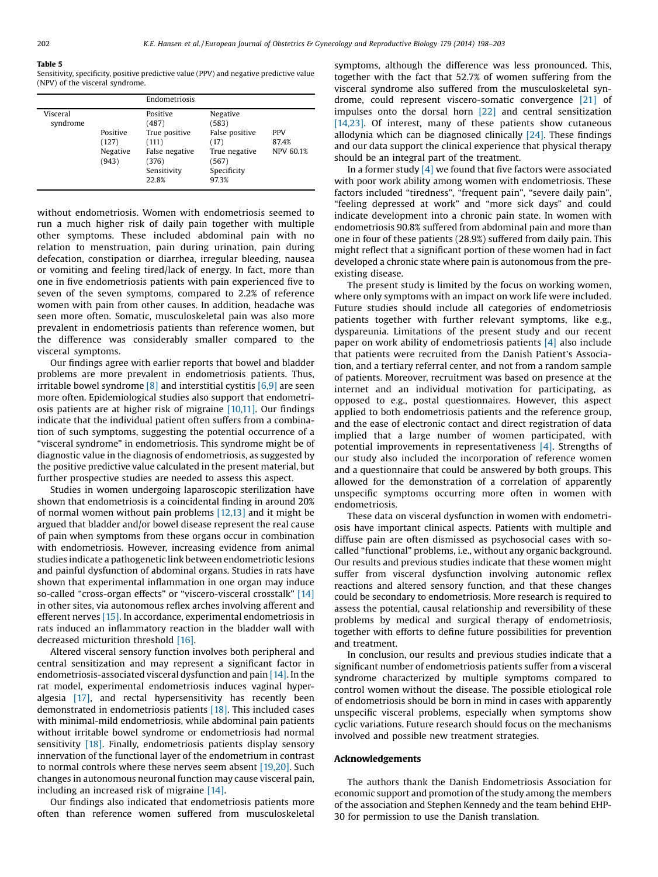#### <span id="page-4-0"></span>Table 5

Sensitivity, specificity, positive predictive value (PPV) and negative predictive value (NPV) of the visceral syndrome.

|                      |                                        | Endometriosis                                                                                  |                                                                                               |                                         |
|----------------------|----------------------------------------|------------------------------------------------------------------------------------------------|-----------------------------------------------------------------------------------------------|-----------------------------------------|
| Visceral<br>syndrome | Positive<br>(127)<br>Negative<br>(943) | Positive<br>(487)<br>True positive<br>(111)<br>False negative<br>(376)<br>Sensitivity<br>22.8% | Negative<br>(583)<br>False positive<br>(17)<br>True negative<br>(567)<br>Specificity<br>97.3% | <b>PPV</b><br>87.4%<br><b>NPV 60.1%</b> |
|                      |                                        |                                                                                                |                                                                                               |                                         |

without endometriosis. Women with endometriosis seemed to run a much higher risk of daily pain together with multiple other symptoms. These included abdominal pain with no relation to menstruation, pain during urination, pain during defecation, constipation or diarrhea, irregular bleeding, nausea or vomiting and feeling tired/lack of energy. In fact, more than one in five endometriosis patients with pain experienced five to seven of the seven symptoms, compared to 2.2% of reference women with pain from other causes. In addition, headache was seen more often. Somatic, musculoskeletal pain was also more prevalent in endometriosis patients than reference women, but the difference was considerably smaller compared to the visceral symptoms.

Our findings agree with earlier reports that bowel and bladder problems are more prevalent in endometriosis patients. Thus, irritable bowel syndrome  $\lceil 8 \rceil$  and interstitial cystitis  $\lceil 6, 9 \rceil$  are seen more often. Epidemiological studies also support that endometriosis patients are at higher risk of migraine [\[10,11\]](#page-5-0). Our findings indicate that the individual patient often suffers from a combination of such symptoms, suggesting the potential occurrence of a "visceral syndrome" in endometriosis. This syndrome might be of diagnostic value in the diagnosis of endometriosis, as suggested by the positive predictive value calculated in the present material, but further prospective studies are needed to assess this aspect.

Studies in women undergoing laparoscopic sterilization have shown that endometriosis is a coincidental finding in around 20% of normal women without pain problems [\[12,13\]](#page-5-0) and it might be argued that bladder and/or bowel disease represent the real cause of pain when symptoms from these organs occur in combination with endometriosis. However, increasing evidence from animal studies indicate a pathogenetic link between endometriotic lesions and painful dysfunction of abdominal organs. Studies in rats have shown that experimental inflammation in one organ may induce so-called "cross-organ effects" or "viscero-visceral crosstalk" [\[14\]](#page-5-0) in other sites, via autonomous reflex arches involving afferent and efferent nerves [\[15\]](#page-5-0). In accordance, experimental endometriosis in rats induced an inflammatory reaction in the bladder wall with decreased micturition threshold [\[16\]](#page-5-0).

Altered visceral sensory function involves both peripheral and central sensitization and may represent a significant factor in endometriosis-associated visceral dysfunction and pain [\[14\]](#page-5-0). In the rat model, experimental endometriosis induces vaginal hyperalgesia [\[17\]](#page-5-0), and rectal hypersensitivity has recently been demonstrated in endometriosis patients [\[18\].](#page-5-0) This included cases with minimal-mild endometriosis, while abdominal pain patients without irritable bowel syndrome or endometriosis had normal sensitivity [\[18\]](#page-5-0). Finally, endometriosis patients display sensory innervation of the functional layer of the endometrium in contrast to normal controls where these nerves seem absent [\[19,20\].](#page-5-0) Such changes in autonomous neuronal function may cause visceral pain, including an increased risk of migraine [\[14\]](#page-5-0).

Our findings also indicated that endometriosis patients more often than reference women suffered from musculoskeletal symptoms, although the difference was less pronounced. This, together with the fact that 52.7% of women suffering from the visceral syndrome also suffered from the musculoskeletal syndrome, could represent viscero-somatic convergence [\[21\]](#page-5-0) of impulses onto the dorsal horn [\[22\]](#page-5-0) and central sensitization [\[14,23\]](#page-5-0). Of interest, many of these patients show cutaneous allodynia which can be diagnosed clinically  $[24]$ . These findings and our data support the clinical experience that physical therapy should be an integral part of the treatment.

In a former study  $[4]$  we found that five factors were associated with poor work ability among women with endometriosis. These factors included "tiredness", "frequent pain", "severe daily pain", "feeling depressed at work" and "more sick days" and could indicate development into a chronic pain state. In women with endometriosis 90.8% suffered from abdominal pain and more than one in four of these patients (28.9%) suffered from daily pain. This might reflect that a significant portion of these women had in fact developed a chronic state where pain is autonomous from the preexisting disease.

The present study is limited by the focus on working women, where only symptoms with an impact on work life were included. Future studies should include all categories of endometriosis patients together with further relevant symptoms, like e.g., dyspareunia. Limitations of the present study and our recent paper on work ability of endometriosis patients [\[4\]](#page-5-0) also include that patients were recruited from the Danish Patient's Association, and a tertiary referral center, and not from a random sample of patients. Moreover, recruitment was based on presence at the internet and an individual motivation for participating, as opposed to e.g., postal questionnaires. However, this aspect applied to both endometriosis patients and the reference group, and the ease of electronic contact and direct registration of data implied that a large number of women participated, with potential improvements in representativeness [\[4\]](#page-5-0). Strengths of our study also included the incorporation of reference women and a questionnaire that could be answered by both groups. This allowed for the demonstration of a correlation of apparently unspecific symptoms occurring more often in women with endometriosis.

These data on visceral dysfunction in women with endometriosis have important clinical aspects. Patients with multiple and diffuse pain are often dismissed as psychosocial cases with socalled "functional" problems, i.e., without any organic background. Our results and previous studies indicate that these women might suffer from visceral dysfunction involving autonomic reflex reactions and altered sensory function, and that these changes could be secondary to endometriosis. More research is required to assess the potential, causal relationship and reversibility of these problems by medical and surgical therapy of endometriosis, together with efforts to define future possibilities for prevention and treatment.

In conclusion, our results and previous studies indicate that a significant number of endometriosis patients suffer from a visceral syndrome characterized by multiple symptoms compared to control women without the disease. The possible etiological role of endometriosis should be born in mind in cases with apparently unspecific visceral problems, especially when symptoms show cyclic variations. Future research should focus on the mechanisms involved and possible new treatment strategies.

## Acknowledgements

The authors thank the Danish Endometriosis Association for economic support and promotion of the study among the members of the association and Stephen Kennedy and the team behind EHP-30 for permission to use the Danish translation.